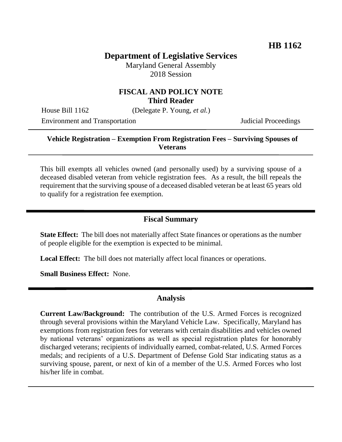# **Department of Legislative Services**

Maryland General Assembly 2018 Session

### **FISCAL AND POLICY NOTE Third Reader**

House Bill 1162 (Delegate P. Young, *et al.*)

Environment and Transportation Judicial Proceedings

### **Vehicle Registration – Exemption From Registration Fees – Surviving Spouses of Veterans**

This bill exempts all vehicles owned (and personally used) by a surviving spouse of a deceased disabled veteran from vehicle registration fees. As a result, the bill repeals the requirement that the surviving spouse of a deceased disabled veteran be at least 65 years old to qualify for a registration fee exemption.

### **Fiscal Summary**

**State Effect:** The bill does not materially affect State finances or operations as the number of people eligible for the exemption is expected to be minimal.

**Local Effect:** The bill does not materially affect local finances or operations.

**Small Business Effect:** None.

#### **Analysis**

**Current Law/Background:** The contribution of the U.S. Armed Forces is recognized through several provisions within the Maryland Vehicle Law. Specifically, Maryland has exemptions from registration fees for veterans with certain disabilities and vehicles owned by national veterans' organizations as well as special registration plates for honorably discharged veterans; recipients of individually earned, combat-related, U.S. Armed Forces medals; and recipients of a U.S. Department of Defense Gold Star indicating status as a surviving spouse, parent, or next of kin of a member of the U.S. Armed Forces who lost his/her life in combat.